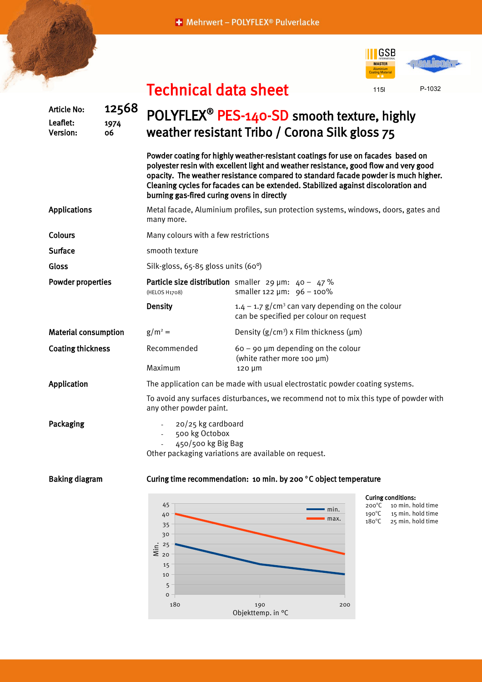+ Mehrwert - POLYFLEX® Pulverlacke





## Technical data sheet

| <b>Article No:</b><br>Leaflet:<br>Version: | 12568<br>1974<br>06 | POLYFLEX <sup>®</sup> PES-140-SD smooth texture, highly<br>weather resistant Tribo / Corona Silk gloss 75                                                                                                                                                                                                                                                                                         |                                                                                                                                                                  |  |  |  |  |  |
|--------------------------------------------|---------------------|---------------------------------------------------------------------------------------------------------------------------------------------------------------------------------------------------------------------------------------------------------------------------------------------------------------------------------------------------------------------------------------------------|------------------------------------------------------------------------------------------------------------------------------------------------------------------|--|--|--|--|--|
|                                            |                     | Powder coating for highly weather-resistant coatings for use on facades based on<br>polyester resin with excellent light and weather resistance, good flow and very good<br>opacity. The weather resistance compared to standard facade powder is much higher.<br>Cleaning cycles for facades can be extended. Stabilized against discoloration and<br>burning gas-fired curing ovens in directly |                                                                                                                                                                  |  |  |  |  |  |
| <b>Applications</b>                        |                     | Metal facade, Aluminium profiles, sun protection systems, windows, doors, gates and<br>many more.                                                                                                                                                                                                                                                                                                 |                                                                                                                                                                  |  |  |  |  |  |
| <b>Colours</b>                             |                     | Many colours with a few restrictions                                                                                                                                                                                                                                                                                                                                                              |                                                                                                                                                                  |  |  |  |  |  |
| <b>Surface</b>                             |                     | smooth texture                                                                                                                                                                                                                                                                                                                                                                                    |                                                                                                                                                                  |  |  |  |  |  |
| Gloss                                      |                     | Silk-gloss, 65-85 gloss units (60°)                                                                                                                                                                                                                                                                                                                                                               |                                                                                                                                                                  |  |  |  |  |  |
| <b>Powder properties</b>                   |                     | (HELOS H1708)                                                                                                                                                                                                                                                                                                                                                                                     | Particle size distribution smaller 29 $\mu$ m: 40 - 47 %<br>smaller 122 $\mu$ m: 96 - 100%                                                                       |  |  |  |  |  |
|                                            |                     | <b>Density</b>                                                                                                                                                                                                                                                                                                                                                                                    | $1.4 - 1.7$ g/cm <sup>3</sup> can vary depending on the colour<br>can be specified per colour on request                                                         |  |  |  |  |  |
| <b>Material consumption</b>                |                     | $g/m^2 =$                                                                                                                                                                                                                                                                                                                                                                                         | Density $(g/cm^3)$ x Film thickness ( $\mu$ m)                                                                                                                   |  |  |  |  |  |
| <b>Coating thickness</b>                   |                     | Recommended<br>Maximum                                                                                                                                                                                                                                                                                                                                                                            | $60 - 90$ µm depending on the colour<br>(white rather more 100 µm)<br>120 µm                                                                                     |  |  |  |  |  |
| Application                                |                     | The application can be made with usual electrostatic powder coating systems.                                                                                                                                                                                                                                                                                                                      |                                                                                                                                                                  |  |  |  |  |  |
|                                            |                     | To avoid any surfaces disturbances, we recommend not to mix this type of powder with<br>any other powder paint.                                                                                                                                                                                                                                                                                   |                                                                                                                                                                  |  |  |  |  |  |
| Packaging                                  |                     | 20/25 kg cardboard<br>500 kg Octobox<br>$\blacksquare$<br>450/500 kg Big Bag<br>Other packaging variations are available on request.                                                                                                                                                                                                                                                              |                                                                                                                                                                  |  |  |  |  |  |
| <b>Baking diagram</b>                      |                     | Curing time recommendation: 10 min. by 200 °C object temperature                                                                                                                                                                                                                                                                                                                                  |                                                                                                                                                                  |  |  |  |  |  |
|                                            |                     | 45<br>40<br>35<br>30<br>$\frac{1}{2}$ $\frac{25}{20}$<br>15<br>10<br>5<br>o                                                                                                                                                                                                                                                                                                                       | <b>Curing conditions:</b><br>$200^{\circ}C$<br>10 min. hold time<br>min.<br>$190^{\circ}$ C<br>15 min. hold time<br>max.<br>$180^{\circ}$ C<br>25 min. hold time |  |  |  |  |  |

180 190 200

Objekttemp. in °C